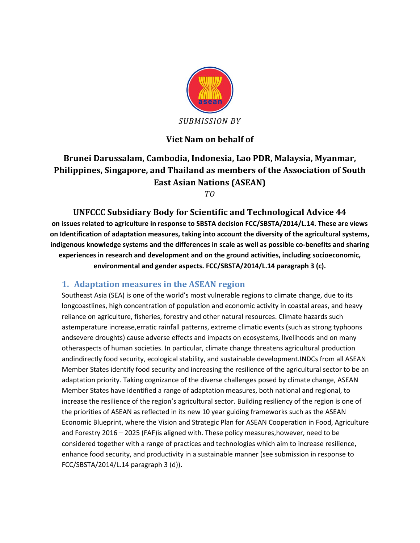

### **Viet Nam on behalf of**

# **Brunei Darussalam, Cambodia, Indonesia, Lao PDR, Malaysia, Myanmar, Philippines, Singapore, and Thailand as members of the Association of South East Asian Nations (ASEAN)**

*TO*

**UNFCCC Subsidiary Body for Scientific and Technological Advice 44 on issues related to agriculture in response to SBSTA decision FCC/SBSTA/2014/L.14. These are views on Identification of adaptation measures, taking into account the diversity of the agricultural systems, indigenous knowledge systems and the differences in scale as well as possible co-benefits and sharing experiences in research and development and on the ground activities, including socioeconomic, environmental and gender aspects. FCC/SBSTA/2014/L.14 paragraph 3 (c).**

#### **1. Adaptation measures in the ASEAN region**

Southeast Asia (SEA) is one of the world's most vulnerable regions to climate change, due to its longcoastlines, high concentration of population and economic activity in coastal areas, and heavy reliance on agriculture, fisheries, forestry and other natural resources. Climate hazards such astemperature increase,erratic rainfall patterns, extreme climatic events (such as strong typhoons andsevere droughts) cause adverse effects and impacts on ecosystems, livelihoods and on many otheraspects of human societies. In particular, climate change threatens agricultural production andindirectly food security, ecological stability, and sustainable development.INDCs from all ASEAN Member States identify food security and increasing the resilience of the agricultural sector to be an adaptation priority. Taking cognizance of the diverse challenges posed by climate change, ASEAN Member States have identified a range of adaptation measures, both national and regional, to increase the resilience of the region's agricultural sector. Building resiliency of the region is one of the priorities of ASEAN as reflected in its new 10 year guiding frameworks such as the ASEAN Economic Blueprint, where the Vision and Strategic Plan for ASEAN Cooperation in Food, Agriculture and Forestry 2016 – 2025 (FAF)is aligned with. These policy measures,however, need to be considered together with a range of practices and technologies which aim to increase resilience, enhance food security, and productivity in a sustainable manner (see submission in response to FCC/SBSTA/2014/L.14 paragraph 3 (d)).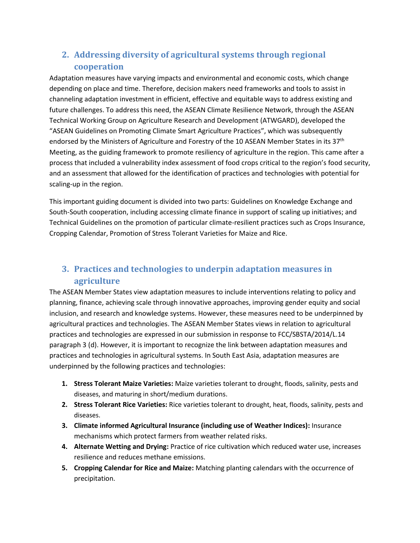## **2. Addressing diversity of agricultural systems through regional cooperation**

Adaptation measures have varying impacts and environmental and economic costs, which change depending on place and time. Therefore, decision makers need frameworks and tools to assist in channeling adaptation investment in efficient, effective and equitable ways to address existing and future challenges. To address this need, the ASEAN Climate Resilience Network, through the ASEAN Technical Working Group on Agriculture Research and Development (ATWGARD), developed the "ASEAN Guidelines on Promoting Climate Smart Agriculture Practices", which was subsequently endorsed by the Ministers of Agriculture and Forestry of the 10 ASEAN Member States in its 37<sup>th</sup> Meeting, as the guiding framework to promote resiliency of agriculture in the region. This came after a process that included a vulnerability index assessment of food crops critical to the region's food security, and an assessment that allowed for the identification of practices and technologies with potential for scaling-up in the region.

This important guiding document is divided into two parts: Guidelines on Knowledge Exchange and South-South cooperation, including accessing climate finance in support of scaling up initiatives; and Technical Guidelines on the promotion of particular climate-resilient practices such as Crops Insurance, Cropping Calendar, Promotion of Stress Tolerant Varieties for Maize and Rice.

### **3. Practices and technologies to underpin adaptation measures in agriculture**

The ASEAN Member States view adaptation measures to include interventions relating to policy and planning, finance, achieving scale through innovative approaches, improving gender equity and social inclusion, and research and knowledge systems. However, these measures need to be underpinned by agricultural practices and technologies. The ASEAN Member States views in relation to agricultural practices and technologies are expressed in our submission in response to FCC/SBSTA/2014/L.14 paragraph 3 (d). However, it is important to recognize the link between adaptation measures and practices and technologies in agricultural systems. In South East Asia, adaptation measures are underpinned by the following practices and technologies:

- **1. Stress Tolerant Maize Varieties:** Maize varieties tolerant to drought, floods, salinity, pests and diseases, and maturing in short/medium durations.
- **2. Stress Tolerant Rice Varieties:** Rice varieties tolerant to drought, heat, floods, salinity, pests and diseases.
- **3. Climate informed Agricultural Insurance (including use of Weather Indices):** Insurance mechanisms which protect farmers from weather related risks.
- **4. Alternate Wetting and Drying:** Practice of rice cultivation which reduced water use, increases resilience and reduces methane emissions.
- **5. Cropping Calendar for Rice and Maize:** Matching planting calendars with the occurrence of precipitation.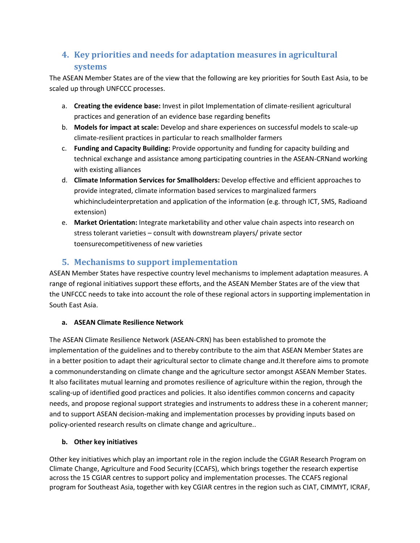## **4. Key priorities and needs for adaptation measures in agricultural systems**

The ASEAN Member States are of the view that the following are key priorities for South East Asia, to be scaled up through UNFCCC processes.

- a. **Creating the evidence base:** Invest in pilot Implementation of climate-resilient agricultural practices and generation of an evidence base regarding benefits
- b. **Models for impact at scale:** Develop and share experiences on successful models to scale-up climate-resilient practices in particular to reach smallholder farmers
- c. **Funding and Capacity Building:** Provide opportunity and funding for capacity building and technical exchange and assistance among participating countries in the ASEAN-CRNand working with existing alliances
- d. **Climate Information Services for Smallholders:** Develop effective and efficient approaches to provide integrated, climate information based services to marginalized farmers whichincludeinterpretation and application of the information (e.g. through ICT, SMS, Radioand extension)
- e. **Market Orientation:** Integrate marketability and other value chain aspects into research on stress tolerant varieties – consult with downstream players/ private sector toensurecompetitiveness of new varieties

### **5. Mechanisms to support implementation**

ASEAN Member States have respective country level mechanisms to implement adaptation measures. A range of regional initiatives support these efforts, and the ASEAN Member States are of the view that the UNFCCC needs to take into account the role of these regional actors in supporting implementation in South East Asia.

#### **a. ASEAN Climate Resilience Network**

The ASEAN Climate Resilience Network (ASEAN-CRN) has been established to promote the implementation of the guidelines and to thereby contribute to the aim that ASEAN Member States are in a better position to adapt their agricultural sector to climate change and.It therefore aims to promote a commonunderstanding on climate change and the agriculture sector amongst ASEAN Member States. It also facilitates mutual learning and promotes resilience of agriculture within the region, through the scaling-up of identified good practices and policies. It also identifies common concerns and capacity needs, and propose regional support strategies and instruments to address these in a coherent manner; and to support ASEAN decision-making and implementation processes by providing inputs based on policy-oriented research results on climate change and agriculture..

### **b. Other key initiatives**

Other key initiatives which play an important role in the region include the CGIAR Research Program on Climate Change, Agriculture and Food Security (CCAFS), which brings together the research expertise across the 15 CGIAR centres to support policy and implementation processes. The CCAFS regional program for Southeast Asia, together with key CGIAR centres in the region such as CIAT, CIMMYT, ICRAF,